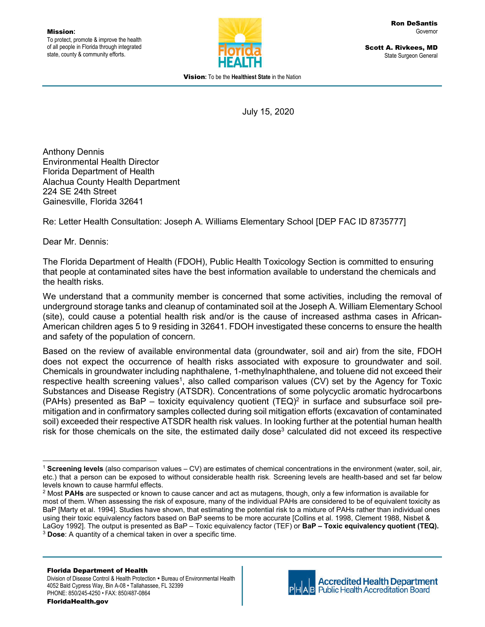

Scott A. Rivkees, MD State Surgeon General

Vision**:** To be the **Healthiest State** in the Nation

July 15, 2020

Anthony Dennis Environmental Health Director Florida Department of Health Alachua County Health Department 224 SE 24th Street Gainesville, Florida 32641

Re: Letter Health Consultation: Joseph A. Williams Elementary School [DEP FAC ID 8735777]

Dear Mr. Dennis:

The Florida Department of Health (FDOH), Public Health Toxicology Section is committed to ensuring that people at contaminated sites have the best information available to understand the chemicals and the health risks.

We understand that a community member is concerned that some activities, including the removal of underground storage tanks and cleanup of contaminated soil at the Joseph A. William Elementary School (site), could cause a potential health risk and/or is the cause of increased asthma cases in African-American children ages 5 to 9 residing in 32641. FDOH investigated these concerns to ensure the health and safety of the population of concern.

Based on the review of available environmental data (groundwater, soil and air) from the site, FDOH does not expect the occurrence of health risks associated with exposure to groundwater and soil. Chemicals in groundwater including naphthalene, 1-methylnaphthalene, and toluene did not exceed their respective health screening values<sup>1</sup>, also called comparison values (CV) set by the Agency for Toxic Substances and Disease Registry (ATSDR). Concentrations of some polycyclic aromatic hydrocarbons (PAHs) presented as BaP – toxicity equivalency quotient (TEQ)<sup>2</sup> in surface and subsurface soil premitigation and in confirmatory samples collected during soil mitigation efforts (excavation of contaminated soil) exceeded their respective ATSDR health risk values. In looking further at the potential human health risk for those chemicals on the site, the estimated daily dose<sup>3</sup> calculated did not exceed its respective



 <sup>1</sup> **Screening levels** (also comparison values – CV) are estimates of chemical concentrations in the environment (water, soil, air, etc.) that a person can be exposed to without considerable health risk. Screening levels are health-based and set far below levels known to cause harmful effects.

<sup>2</sup> Most **PAHs** are suspected or known to cause cancer and act as mutagens, though, only a few information is available for most of them. When assessing the risk of exposure, many of the individual PAHs are considered to be of equivalent toxicity as BaP [Marty et al. 1994]. Studies have shown, that estimating the potential risk to a mixture of PAHs rather than individual ones using their toxic equivalency factors based on BaP seems to be more accurate [Collins et al. 1998, Clement 1988, Nisbet & LaGoy 1992]. The output is presented as BaP – Toxic equivalency factor (TEF) or **BaP – Toxic equivalency quotient (TEQ).** <sup>3</sup> **Dose**: A quantity of a chemical taken in over a specific time.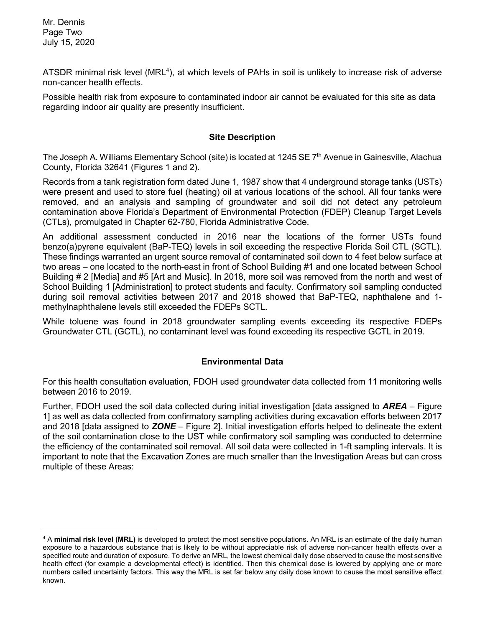Mr. Dennis Page Two July 15, 2020

ATSDR minimal risk level (MRL<sup>4</sup>), at which levels of PAHs in soil is unlikely to increase risk of adverse non-cancer health effects.

Possible health risk from exposure to contaminated indoor air cannot be evaluated for this site as data regarding indoor air quality are presently insufficient.

### **Site Description**

The Joseph A. Williams Elementary School (site) is located at 1245 SE 7<sup>th</sup> Avenue in Gainesville, Alachua County, Florida 32641 (Figures 1 and 2).

Records from a tank registration form dated June 1, 1987 show that 4 underground storage tanks (USTs) were present and used to store fuel (heating) oil at various locations of the school. All four tanks were removed, and an analysis and sampling of groundwater and soil did not detect any petroleum contamination above Florida's Department of Environmental Protection (FDEP) Cleanup Target Levels (CTLs), promulgated in Chapter 62-780, Florida Administrative Code.

An additional assessment conducted in 2016 near the locations of the former USTs found benzo(a)pyrene equivalent (BaP-TEQ) levels in soil exceeding the respective Florida Soil CTL (SCTL). These findings warranted an urgent source removal of contaminated soil down to 4 feet below surface at two areas – one located to the north-east in front of School Building #1 and one located between School Building # 2 [Media] and #5 [Art and Music]. In 2018, more soil was removed from the north and west of School Building 1 [Administration] to protect students and faculty. Confirmatory soil sampling conducted during soil removal activities between 2017 and 2018 showed that BaP-TEQ, naphthalene and 1 methylnaphthalene levels still exceeded the FDEPs SCTL.

While toluene was found in 2018 groundwater sampling events exceeding its respective FDEPs Groundwater CTL (GCTL), no contaminant level was found exceeding its respective GCTL in 2019.

# **Environmental Data**

For this health consultation evaluation, FDOH used groundwater data collected from 11 monitoring wells between 2016 to 2019.

Further, FDOH used the soil data collected during initial investigation [data assigned to *AREA* – Figure 1] as well as data collected from confirmatory sampling activities during excavation efforts between 2017 and 2018 [data assigned to *ZONE* – Figure 2]. Initial investigation efforts helped to delineate the extent of the soil contamination close to the UST while confirmatory soil sampling was conducted to determine the efficiency of the contaminated soil removal. All soil data were collected in 1-ft sampling intervals. It is important to note that the Excavation Zones are much smaller than the Investigation Areas but can cross multiple of these Areas:

 <sup>4</sup> <sup>A</sup>**minimal risk level (MRL)** is developed to protect the most sensitive populations. An MRL is an estimate of the daily human exposure to a hazardous substance that is likely to be without appreciable risk of adverse non-cancer health effects over a specified route and duration of exposure. To derive an MRL, the lowest chemical daily dose observed to cause the most sensitive health effect (for example a developmental effect) is identified. Then this chemical dose is lowered by applying one or more numbers called uncertainty factors. This way the MRL is set far below any daily dose known to cause the most sensitive effect known.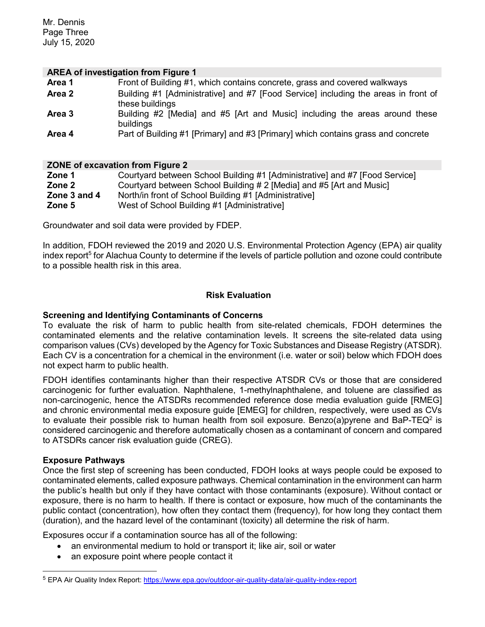Mr. Dennis Page Three July 15, 2020

#### **AREA of investigation from Figure 1**

| Area 1 | Front of Building #1, which contains concrete, grass and covered walkways                             |
|--------|-------------------------------------------------------------------------------------------------------|
| Area 2 | Building #1 [Administrative] and #7 [Food Service] including the areas in front of<br>these buildings |
| Area 3 | Building #2 [Media] and #5 [Art and Music] including the areas around these<br>buildings              |
| Area 4 | Part of Building #1 [Primary] and #3 [Primary] which contains grass and concrete                      |

#### **ZONE of excavation from Figure 2**

| Zone 1       | Courtyard between School Building #1 [Administrative] and #7 [Food Service] |
|--------------|-----------------------------------------------------------------------------|
| Zone 2       | Courtyard between School Building # 2 [Media] and #5 [Art and Music]        |
| Zone 3 and 4 | North/in front of School Building #1 [Administrative]                       |
| Zone 5       | West of School Building #1 [Administrative]                                 |
|              |                                                                             |

Groundwater and soil data were provided by FDEP.

In addition, FDOH reviewed the 2019 and 2020 U.S. Environmental Protection Agency (EPA) air quality index report<sup>5</sup> for Alachua County to determine if the levels of particle pollution and ozone could contribute to a possible health risk in this area.

### **Risk Evaluation**

### **Screening and Identifying Contaminants of Concerns**

To evaluate the risk of harm to public health from site-related chemicals, FDOH determines the contaminated elements and the relative contamination levels. It screens the site-related data using comparison values (CVs) developed by the Agency for Toxic Substances and Disease Registry (ATSDR). Each CV is a concentration for a chemical in the environment (i.e. water or soil) below which FDOH does not expect harm to public health.

FDOH identifies contaminants higher than their respective ATSDR CVs or those that are considered carcinogenic for further evaluation. Naphthalene, 1-methylnaphthalene, and toluene are classified as non-carcinogenic, hence the ATSDRs recommended reference dose media evaluation guide [RMEG] and chronic environmental media exposure guide [EMEG] for children, respectively, were used as CVs to evaluate their possible risk to human health from soil exposure. Benzo(a)pyrene and BaP-TEQ<sup>2</sup> is considered carcinogenic and therefore automatically chosen as a contaminant of concern and compared to ATSDRs cancer risk evaluation guide (CREG).

#### **Exposure Pathways**

Once the first step of screening has been conducted, FDOH looks at ways people could be exposed to contaminated elements, called exposure pathways. Chemical contamination in the environment can harm the public's health but only if they have contact with those contaminants (exposure). Without contact or exposure, there is no harm to health. If there is contact or exposure, how much of the contaminants the public contact (concentration), how often they contact them (frequency), for how long they contact them (duration), and the hazard level of the contaminant (toxicity) all determine the risk of harm.

Exposures occur if a contamination source has all of the following:

- an environmental medium to hold or transport it; like air, soil or water
- an exposure point where people contact it

 <sup>5</sup> EPA Air Quality Index Report: https://www.epa.gov/outdoor-air-quality-data/air-quality-index-report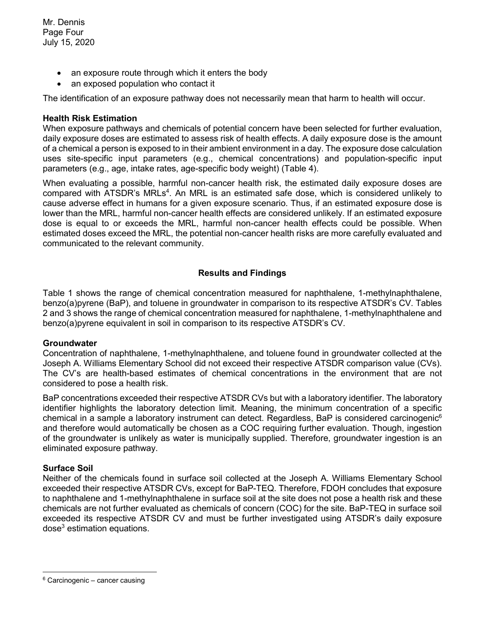- an exposure route through which it enters the body
- an exposed population who contact it

The identification of an exposure pathway does not necessarily mean that harm to health will occur.

# **Health Risk Estimation**

When exposure pathways and chemicals of potential concern have been selected for further evaluation, daily exposure doses are estimated to assess risk of health effects. A daily exposure dose is the amount of a chemical a person is exposed to in their ambient environment in a day. The exposure dose calculation uses site-specific input parameters (e.g., chemical concentrations) and population-specific input parameters (e.g., age, intake rates, age-specific body weight) (Table 4).

When evaluating a possible, harmful non-cancer health risk, the estimated daily exposure doses are compared with ATSDR's MRLs<sup>4</sup>. An MRL is an estimated safe dose, which is considered unlikely to cause adverse effect in humans for a given exposure scenario. Thus, if an estimated exposure dose is lower than the MRL, harmful non-cancer health effects are considered unlikely. If an estimated exposure dose is equal to or exceeds the MRL, harmful non-cancer health effects could be possible. When estimated doses exceed the MRL, the potential non-cancer health risks are more carefully evaluated and communicated to the relevant community.

# **Results and Findings**

Table 1 shows the range of chemical concentration measured for naphthalene, 1-methylnaphthalene, benzo(a)pyrene (BaP), and toluene in groundwater in comparison to its respective ATSDR's CV. Tables 2 and 3 shows the range of chemical concentration measured for naphthalene, 1-methylnaphthalene and benzo(a)pyrene equivalent in soil in comparison to its respective ATSDR's CV.

#### **Groundwater**

Concentration of naphthalene, 1-methylnaphthalene, and toluene found in groundwater collected at the Joseph A. Williams Elementary School did not exceed their respective ATSDR comparison value (CVs). The CV's are health-based estimates of chemical concentrations in the environment that are not considered to pose a health risk.

BaP concentrations exceeded their respective ATSDR CVs but with a laboratory identifier. The laboratory identifier highlights the laboratory detection limit. Meaning, the minimum concentration of a specific chemical in a sample a laboratory instrument can detect. Regardless, BaP is considered carcinogenic<sup>6</sup> and therefore would automatically be chosen as a COC requiring further evaluation. Though, ingestion of the groundwater is unlikely as water is municipally supplied. Therefore, groundwater ingestion is an eliminated exposure pathway.

# **Surface Soil**

Neither of the chemicals found in surface soil collected at the Joseph A. Williams Elementary School exceeded their respective ATSDR CVs, except for BaP-TEQ. Therefore, FDOH concludes that exposure to naphthalene and 1-methylnaphthalene in surface soil at the site does not pose a health risk and these chemicals are not further evaluated as chemicals of concern (COC) for the site. BaP-TEQ in surface soil exceeded its respective ATSDR CV and must be further investigated using ATSDR's daily exposure dose<sup>3</sup> estimation equations.

 $6$  Carcinogenic – cancer causing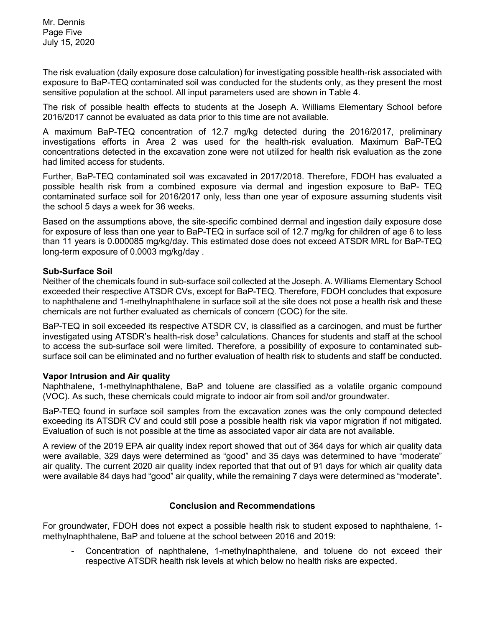The risk evaluation (daily exposure dose calculation) for investigating possible health-risk associated with exposure to BaP-TEQ contaminated soil was conducted for the students only, as they present the most sensitive population at the school. All input parameters used are shown in Table 4.

The risk of possible health effects to students at the Joseph A. Williams Elementary School before 2016/2017 cannot be evaluated as data prior to this time are not available.

A maximum BaP-TEQ concentration of 12.7 mg/kg detected during the 2016/2017, preliminary investigations efforts in Area 2 was used for the health-risk evaluation. Maximum BaP-TEQ concentrations detected in the excavation zone were not utilized for health risk evaluation as the zone had limited access for students.

Further, BaP-TEQ contaminated soil was excavated in 2017/2018. Therefore, FDOH has evaluated a possible health risk from a combined exposure via dermal and ingestion exposure to BaP- TEQ contaminated surface soil for 2016/2017 only, less than one year of exposure assuming students visit the school 5 days a week for 36 weeks.

Based on the assumptions above, the site-specific combined dermal and ingestion daily exposure dose for exposure of less than one year to BaP-TEQ in surface soil of 12.7 mg/kg for children of age 6 to less than 11 years is 0.000085 mg/kg/day. This estimated dose does not exceed ATSDR MRL for BaP-TEQ long-term exposure of 0.0003 mg/kg/day .

# **Sub-Surface Soil**

Neither of the chemicals found in sub-surface soil collected at the Joseph. A. Williams Elementary School exceeded their respective ATSDR CVs, except for BaP-TEQ. Therefore, FDOH concludes that exposure to naphthalene and 1-methylnaphthalene in surface soil at the site does not pose a health risk and these chemicals are not further evaluated as chemicals of concern (COC) for the site.

BaP-TEQ in soil exceeded its respective ATSDR CV, is classified as a carcinogen, and must be further investigated using ATSDR's health-risk dose<sup>3</sup> calculations. Chances for students and staff at the school to access the sub-surface soil were limited. Therefore, a possibility of exposure to contaminated subsurface soil can be eliminated and no further evaluation of health risk to students and staff be conducted.

#### **Vapor Intrusion and Air quality**

Naphthalene, 1-methylnaphthalene, BaP and toluene are classified as a volatile organic compound (VOC). As such, these chemicals could migrate to indoor air from soil and/or groundwater.

BaP-TEQ found in surface soil samples from the excavation zones was the only compound detected exceeding its ATSDR CV and could still pose a possible health risk via vapor migration if not mitigated. Evaluation of such is not possible at the time as associated vapor air data are not available.

A review of the 2019 EPA air quality index report showed that out of 364 days for which air quality data were available, 329 days were determined as "good" and 35 days was determined to have "moderate" air quality. The current 2020 air quality index reported that that out of 91 days for which air quality data were available 84 days had "good" air quality, while the remaining 7 days were determined as "moderate".

# **Conclusion and Recommendations**

For groundwater, FDOH does not expect a possible health risk to student exposed to naphthalene, 1 methylnaphthalene, BaP and toluene at the school between 2016 and 2019:

- Concentration of naphthalene, 1-methylnaphthalene, and toluene do not exceed their respective ATSDR health risk levels at which below no health risks are expected.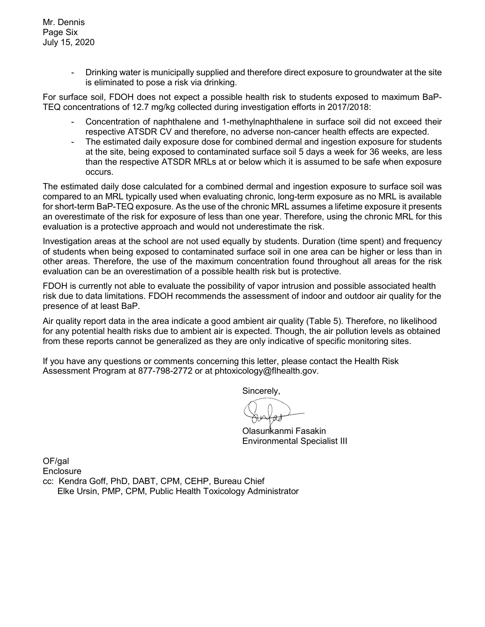- Drinking water is municipally supplied and therefore direct exposure to groundwater at the site is eliminated to pose a risk via drinking.

For surface soil, FDOH does not expect a possible health risk to students exposed to maximum BaP-TEQ concentrations of 12.7 mg/kg collected during investigation efforts in 2017/2018:

- Concentration of naphthalene and 1-methylnaphthalene in surface soil did not exceed their respective ATSDR CV and therefore, no adverse non-cancer health effects are expected.
- The estimated daily exposure dose for combined dermal and ingestion exposure for students at the site, being exposed to contaminated surface soil 5 days a week for 36 weeks, are less than the respective ATSDR MRLs at or below which it is assumed to be safe when exposure occurs.

The estimated daily dose calculated for a combined dermal and ingestion exposure to surface soil was compared to an MRL typically used when evaluating chronic, long-term exposure as no MRL is available for short-term BaP-TEQ exposure. As the use of the chronic MRL assumes a lifetime exposure it presents an overestimate of the risk for exposure of less than one year. Therefore, using the chronic MRL for this evaluation is a protective approach and would not underestimate the risk.

Investigation areas at the school are not used equally by students. Duration (time spent) and frequency of students when being exposed to contaminated surface soil in one area can be higher or less than in other areas. Therefore, the use of the maximum concentration found throughout all areas for the risk evaluation can be an overestimation of a possible health risk but is protective.

FDOH is currently not able to evaluate the possibility of vapor intrusion and possible associated health risk due to data limitations. FDOH recommends the assessment of indoor and outdoor air quality for the presence of at least BaP.

Air quality report data in the area indicate a good ambient air quality (Table 5). Therefore, no likelihood for any potential health risks due to ambient air is expected. Though, the air pollution levels as obtained from these reports cannot be generalized as they are only indicative of specific monitoring sites.

If you have any questions or comments concerning this letter, please contact the Health Risk Assessment Program at 877-798-2772 or at phtoxicology@flhealth.gov.

Sincerely,

Olasunkanmi Fasakin Environmental Specialist III

OF/gal **Enclosure** cc: Kendra Goff, PhD, DABT, CPM, CEHP, Bureau Chief Elke Ursin, PMP, CPM, Public Health Toxicology Administrator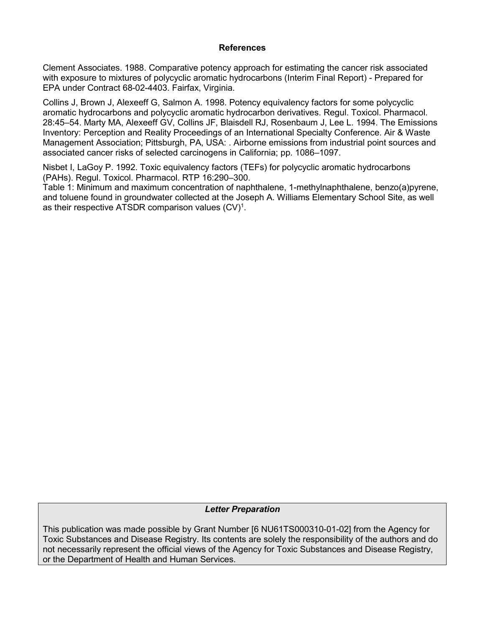### **References**

Clement Associates. 1988. Comparative potency approach for estimating the cancer risk associated with exposure to mixtures of polycyclic aromatic hydrocarbons (Interim Final Report) - Prepared for EPA under Contract 68-02-4403. Fairfax, Virginia.

Collins J, Brown J, Alexeeff G, Salmon A. 1998. Potency equivalency factors for some polycyclic aromatic hydrocarbons and polycyclic aromatic hydrocarbon derivatives. Regul. Toxicol. Pharmacol. 28:45–54. Marty MA, Alexeeff GV, Collins JF, Blaisdell RJ, Rosenbaum J, Lee L. 1994. The Emissions Inventory: Perception and Reality Proceedings of an International Specialty Conference. Air & Waste Management Association; Pittsburgh, PA, USA: . Airborne emissions from industrial point sources and associated cancer risks of selected carcinogens in California; pp. 1086–1097.

Nisbet I, LaGoy P. 1992. Toxic equivalency factors (TEFs) for polycyclic aromatic hydrocarbons (PAHs). Regul. Toxicol. Pharmacol. RTP 16:290–300.

Table 1: Minimum and maximum concentration of naphthalene, 1-methylnaphthalene, benzo(a)pyrene, and toluene found in groundwater collected at the Joseph A. Williams Elementary School Site, as well as their respective ATSDR comparison values  $(CV)^1$ .

# *Letter Preparation*

This publication was made possible by Grant Number [6 NU61TS000310-01-02] from the Agency for Toxic Substances and Disease Registry. Its contents are solely the responsibility of the authors and do not necessarily represent the official views of the Agency for Toxic Substances and Disease Registry, or the Department of Health and Human Services.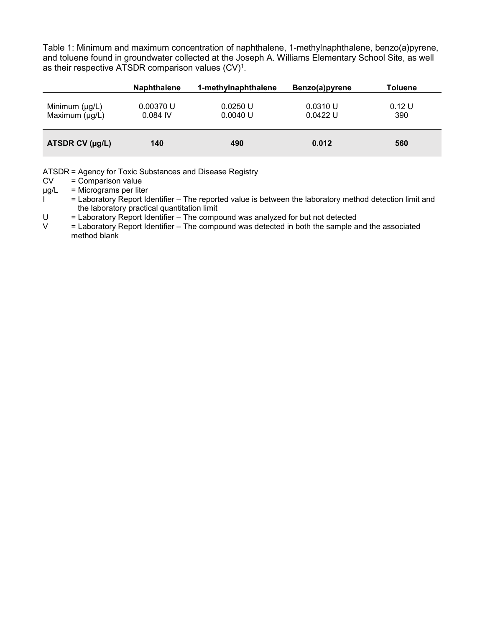Table 1: Minimum and maximum concentration of naphthalene, 1-methylnaphthalene, benzo(a)pyrene, and toluene found in groundwater collected at the Joseph A. Williams Elementary School Site, as well as their respective ATSDR comparison values  $(CV)^1$ .

|                                            | <b>Naphthalene</b>      | 1-methylnaphthalene  | Benzo(a)pyrene       | <b>Toluene</b> |
|--------------------------------------------|-------------------------|----------------------|----------------------|----------------|
| Minimum $(\mu g/L)$<br>Maximum $(\mu g/L)$ | 0.00370 U<br>$0.084$ IV | 0.0250 U<br>0.0040 U | 0.0310 U<br>0.0422 U | 0.12 U<br>390  |
| ATSDR CV (µg/L)                            | 140                     | 490                  | 0.012                | 560            |

ATSDR = Agency for Toxic Substances and Disease Registry<br>CV = Comparison value

 $=$  Comparison value

 $\mu$ g/L = Micrograms per liter

 $I^{\bullet}$  = Laboratory Report Identifier – The reported value is between the laboratory method detection limit and the laboratory practical quantitation limit<br>U = Laboratory Report Identifier – The compo

U  $=$  Laboratory Report Identifier – The compound was analyzed for but not detected  $V =$  Laboratory Report Identifier – The compound was detected in both the sample a

= Laboratory Report Identifier – The compound was detected in both the sample and the associated method blank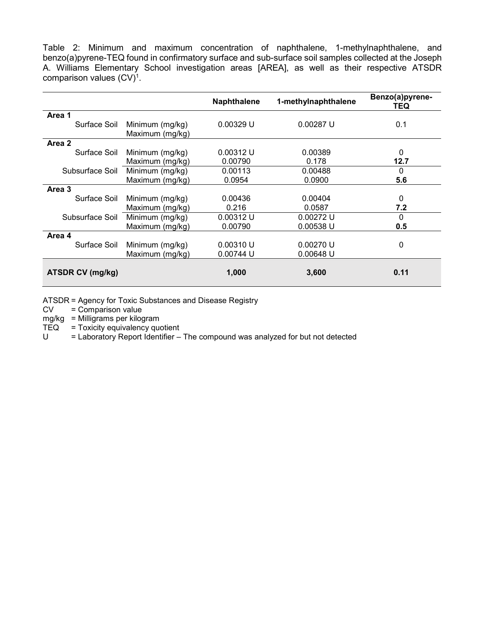Table 2: Minimum and maximum concentration of naphthalene, 1-methylnaphthalene, and benzo(a)pyrene-TEQ found in confirmatory surface and sub-surface soil samples collected at the Joseph A. Williams Elementary School investigation areas [AREA], as well as their respective ATSDR comparison values  $(CV)^1$ .

|                  |                 | <b>Naphthalene</b> | 1-methylnaphthalene | Benzo(a)pyrene-<br>TEQ |
|------------------|-----------------|--------------------|---------------------|------------------------|
| Area 1           |                 |                    |                     |                        |
| Surface Soil     | Minimum (mg/kg) | 0.00329 U          | $0.00287$ U         | 0.1                    |
|                  | Maximum (mg/kg) |                    |                     |                        |
| Area 2           |                 |                    |                     |                        |
| Surface Soil     | Minimum (mg/kg) | 0.00312 U          | 0.00389             | 0                      |
|                  | Maximum (mg/kg) | 0.00790            | 0.178               | 12.7                   |
| Subsurface Soil  | Minimum (mg/kg) | 0.00113            | 0.00488             | O                      |
|                  | Maximum (mg/kg) | 0.0954             | 0.0900              | 5.6                    |
| Area 3           |                 |                    |                     |                        |
| Surface Soil     | Minimum (mg/kg) | 0.00436            | 0.00404             | 0                      |
|                  | Maximum (mg/kg) | 0.216              | 0.0587              | 7.2                    |
| Subsurface Soil  | Minimum (mg/kg) | 0.00312 U          | $0.00272$ U         | O                      |
|                  | Maximum (mg/kg) | 0.00790            | 0.00538 U           | 0.5                    |
| Area 4           |                 |                    |                     |                        |
| Surface Soil     | Minimum (mg/kg) | 0.00310 U          | 0.00270 U           | 0                      |
|                  | Maximum (mg/kg) | 0.00744 U          | 0.00648 U           |                        |
|                  |                 |                    |                     |                        |
| ATSDR CV (mg/kg) |                 | 1,000              | 3,600               | 0.11                   |

ATSDR = Agency for Toxic Substances and Disease Registry

 $CV = Comparison value$ 

mg/kg = Milligrams per kilogram<br>TEQ = Toxicity equivalency que

 $=$  Toxicity equivalency quotient

 $U =$  Laboratory Report Identifier – The compound was analyzed for but not detected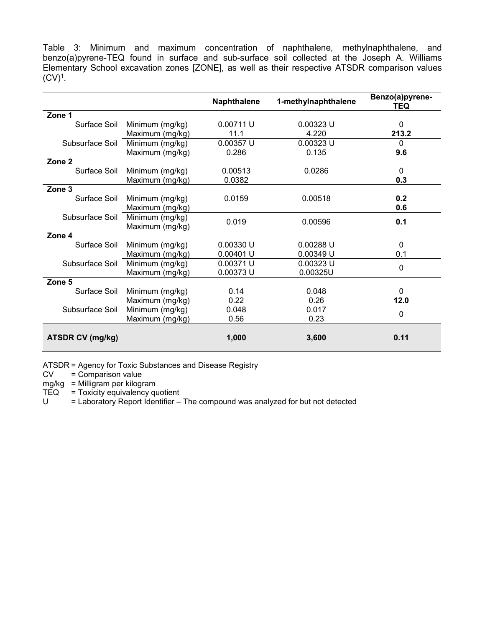Table 3: Minimum and maximum concentration of naphthalene, methylnaphthalene, and benzo(a)pyrene-TEQ found in surface and sub-surface soil collected at the Joseph A. Williams Elementary School excavation zones [ZONE], as well as their respective ATSDR comparison values  $(CV)^1$ .

|                         |                 | <b>Naphthalene</b> | 1-methylnaphthalene | Benzo(a)pyrene-<br>TEQ |
|-------------------------|-----------------|--------------------|---------------------|------------------------|
| Zone 1                  |                 |                    |                     |                        |
| Surface Soil            | Minimum (mg/kg) | 0.00711 U          | 0.00323 U           | 0                      |
|                         | Maximum (mg/kg) | 11.1               | 4.220               | 213.2                  |
| Subsurface Soil         | Minimum (mg/kg) | 0.00357 U          | $0.00323$ U         | 0                      |
|                         | Maximum (mg/kg) | 0.286              | 0.135               | 9.6                    |
| Zone <sub>2</sub>       |                 |                    |                     |                        |
| Surface Soil            | Minimum (mg/kg) | 0.00513            | 0.0286              | $\Omega$               |
|                         | Maximum (mg/kg) | 0.0382             |                     | 0.3                    |
| Zone 3                  |                 |                    |                     |                        |
| Surface Soil            | Minimum (mg/kg) | 0.0159             | 0.00518             | 0.2                    |
|                         | Maximum (mg/kg) |                    |                     | 0.6                    |
| Subsurface Soil         | Minimum (mg/kg) | 0.019              | 0.00596             | 0.1                    |
|                         | Maximum (mg/kg) |                    |                     |                        |
| Zone 4                  |                 |                    |                     |                        |
| Surface Soil            | Minimum (mg/kg) | 0.00330 U          | 0.00288 U           | $\mathbf{0}$           |
|                         | Maximum (mg/kg) | 0.00401 U          | 0.00349 U           | 0.1                    |
| Subsurface Soil         | Minimum (mg/kg) | 0.00371 U          | 0.00323 U           | 0                      |
|                         | Maximum (mg/kg) | 0.00373 U          | 0.00325U            |                        |
| Zone 5                  |                 |                    |                     |                        |
| Surface Soil            | Minimum (mg/kg) | 0.14               | 0.048               | $\Omega$               |
|                         | Maximum (mg/kg) | 0.22               | 0.26                | 12.0                   |
| Subsurface Soil         | Minimum (mg/kg) | 0.048              | 0.017               | $\mathbf 0$            |
|                         | Maximum (mg/kg) | 0.56               | 0.23                |                        |
|                         |                 |                    |                     |                        |
| <b>ATSDR CV (mg/kg)</b> |                 | 1,000              | 3,600               | 0.11                   |

ATSDR = Agency for Toxic Substances and Disease Registry

CV = Comparison value

mg/kg = Milligram per kilogram

 $TEQ$  = Toxicity equivalency quotient

 $U =$  Laboratory Report Identifier – The compound was analyzed for but not detected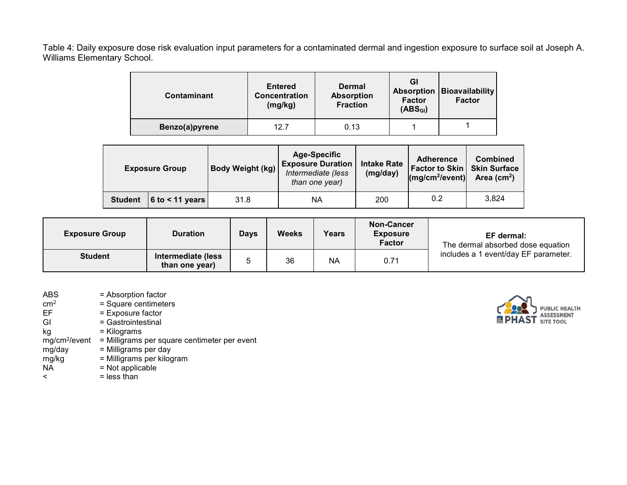Table 4: Daily exposure dose risk evaluation input parameters for a contaminated dermal and ingestion exposure to surface soil at Joseph A. Williams Elementary School.

| <b>Contaminant</b> | <b>Entered</b><br>Concentration<br>(mg/kg) | Dermal<br><b>Absorption</b><br><b>Fraction</b> | GI<br><b>Absorption</b><br><b>Factor</b><br>(ABS <sub>GI</sub> ) | Bioavailability<br><b>Factor</b> |
|--------------------|--------------------------------------------|------------------------------------------------|------------------------------------------------------------------|----------------------------------|
| Benzo(a)pyrene     | 12.7                                       | 0.13                                           |                                                                  |                                  |

| <b>Exposure Group</b> |                   | Body Weight (kg) | <b>Age-Specific</b><br><b>Exposure Duration</b><br>Intermediate (less<br>than one year) | <b>Intake Rate</b><br>(mg/day) | <b>Adherence</b><br>Factor to Skin   Skin Surface<br>$\left(\frac{mg}{cm^2}}\right)$ | <b>Combined</b><br>Area ( $cm2$ ) |
|-----------------------|-------------------|------------------|-----------------------------------------------------------------------------------------|--------------------------------|--------------------------------------------------------------------------------------|-----------------------------------|
| <b>Student</b>        | $6$ to < 11 years | 31.8             | ΝA                                                                                      | 200                            | 0.2                                                                                  | 3,824                             |

| <b>Exposure Group</b> | <b>Duration</b>                      | <b>Days</b> | <b>Weeks</b> | Years     | Non-Cancer<br><b>Exposure</b><br><b>Factor</b> | EF dermal:<br>The dermal absorbed dose equation |
|-----------------------|--------------------------------------|-------------|--------------|-----------|------------------------------------------------|-------------------------------------------------|
| <b>Student</b>        | Intermediate (less<br>than one year) |             | 36           | <b>NA</b> | 0.71                                           | includes a 1 event/day EF parameter.            |

- ABS  $=$  Absorption factor<br>  $\text{cm}^2$   $=$  Square centimeter  $cm<sup>2</sup>$  = Square centimeters<br>EF = Exposure factor EF = Exposure factor<br>GI = Gastrointestinal  $=$  Gastrointestinal kg = Kilograms mg/cm<sup>2</sup>/event = Milligrams per square centimeter per event<br>mg/day = Milligrams per day mg/day = Milligrams per day<br>mg/kg = Milligrams per kilog mg/kg = Milligrams per kilogram<br>NA = Not applicable  $NA$  = Not applicable<br>  $\le$  = less than
	- $=$  less than

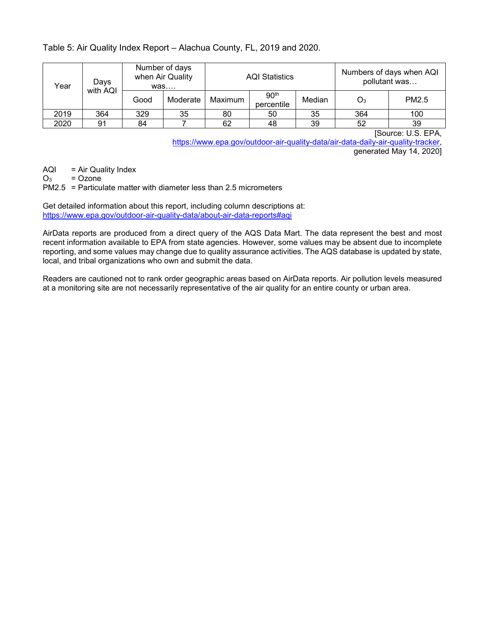# Table 5: Air Quality Index Report – Alachua County, FL, 2019 and 2020.

| Days<br>Year<br>with AQI |     |      | Number of days<br>when Air Quality<br>was |         | <b>AQI Statistics</b>          |        |       | Numbers of days when AQI<br>pollutant was |
|--------------------------|-----|------|-------------------------------------------|---------|--------------------------------|--------|-------|-------------------------------------------|
|                          |     | Good | Moderate                                  | Maximum | 90 <sup>th</sup><br>percentile | Median | $O_3$ | PM2.5                                     |
| 2019                     | 364 | 329  | 35                                        | 80      | 50                             | 35     | 364   | 100                                       |
| 2020                     | 91  | 84   |                                           | 62      | 48                             | 39     | 52    | 39                                        |

[Source: U.S. EPA,

https://www.epa.gov/outdoor-air-quality-data/air-data-daily-air-quality-tracker, generated May 14, 2020]

AQI = Air Quality Index<br> $Q_3$  = Ozone

= Ozone

PM2.5 = Particulate matter with diameter less than 2.5 micrometers

Get detailed information about this report, including column descriptions at: https://www.epa.gov/outdoor-air-quality-data/about-air-data-reports#aqi

AirData reports are produced from a direct query of the AQS Data Mart. The data represent the best and most recent information available to EPA from state agencies. However, some values may be absent due to incomplete reporting, and some values may change due to quality assurance activities. The AQS database is updated by state, local, and tribal organizations who own and submit the data.

Readers are cautioned not to rank order geographic areas based on AirData reports. Air pollution levels measured at a monitoring site are not necessarily representative of the air quality for an entire county or urban area.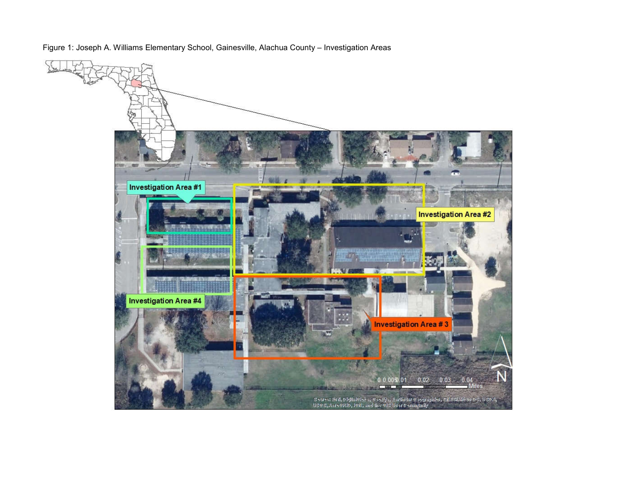Figure 1: Joseph A. Williams Elementary School, Gainesville, Alachua County – Investigation Areas